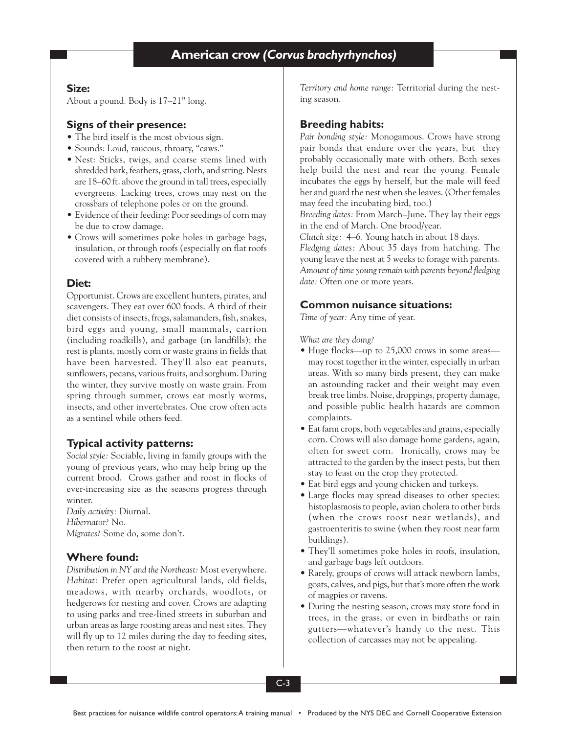### **Size:**

About a pound. Body is 17–21" long.

### **Signs of their presence:**

- The bird itself is the most obvious sign.
- Sounds: Loud, raucous, throaty, "caws."
- Nest: Sticks, twigs, and coarse stems lined with shredded bark, feathers, grass, cloth, and string. Nests are 18–60 ft. above the ground in tall trees, especially evergreens. Lacking trees, crows may nest on the crossbars of telephone poles or on the ground.
- Evidence of their feeding: Poor seedings of corn may be due to crow damage.
- Crows will sometimes poke holes in garbage bags, insulation, or through roofs (especially on flat roofs covered with a rubbery membrane).

## **Diet:**

Opportunist. Crows are excellent hunters, pirates, and scavengers. They eat over 600 foods. A third of their diet consists of insects, frogs, salamanders, fish, snakes, bird eggs and young, small mammals, carrion (including roadkills), and garbage (in landfills); the rest is plants, mostly corn or waste grains in fields that have been harvested. They'll also eat peanuts, sunflowers, pecans, various fruits, and sorghum. During the winter, they survive mostly on waste grain. From spring through summer, crows eat mostly worms, insects, and other invertebrates. One crow often acts as a sentinel while others feed.

# **Typical activity patterns:**

*Social style:* Sociable, living in family groups with the young of previous years, who may help bring up the current brood. Crows gather and roost in flocks of ever-increasing size as the seasons progress through winter.

*Daily activity:* Diurnal. *Hibernator?* No. *Migrates?* Some do, some don't.

# **Where found:**

*Distribution in NY and the Northeast:* Most everywhere. *Habitat:* Prefer open agricultural lands, old fields, meadows, with nearby orchards, woodlots, or hedgerows for nesting and cover. Crows are adapting to using parks and tree-lined streets in suburban and urban areas as large roosting areas and nest sites. They will fly up to 12 miles during the day to feeding sites, then return to the roost at night.

*Territory and home range:* Territorial during the nesting season.

## **Breeding habits:**

*Pair bonding style:* Monogamous. Crows have strong pair bonds that endure over the years, but they probably occasionally mate with others. Both sexes help build the nest and rear the young. Female incubates the eggs by herself, but the male will feed her and guard the nest when she leaves. (Other females may feed the incubating bird, too.)

*Breeding dates:* From March–June. They lay their eggs in the end of March. One brood/year.

*Clutch size:* 4–6. Young hatch in about 18 days.

*Fledging dates:* About 35 days from hatching. The young leave the nest at 5 weeks to forage with parents. *Amount of time young remain with parents beyond fledging date:* Often one or more years.

## **Common nuisance situations:**

*Time of year:* Any time of year.

*What are they doing?*

- Huge flocks—up to 25,000 crows in some areas may roost together in the winter, especially in urban areas. With so many birds present, they can make an astounding racket and their weight may even break tree limbs. Noise, droppings, property damage, and possible public health hazards are common complaints.
- Eat farm crops, both vegetables and grains, especially corn. Crows will also damage home gardens, again, often for sweet corn. Ironically, crows may be attracted to the garden by the insect pests, but then stay to feast on the crop they protected.
- Eat bird eggs and young chicken and turkeys.
- Large flocks may spread diseases to other species: histoplasmosis to people, avian cholera to other birds (when the crows roost near wetlands), and gastroenteritis to swine (when they roost near farm buildings).
- They'll sometimes poke holes in roofs, insulation, and garbage bags left outdoors.
- Rarely, groups of crows will attack newborn lambs, goats, calves, and pigs, but that's more often the work of magpies or ravens.
- During the nesting season, crows may store food in trees, in the grass, or even in birdbaths or rain gutters—whatever's handy to the nest. This collection of carcasses may not be appealing.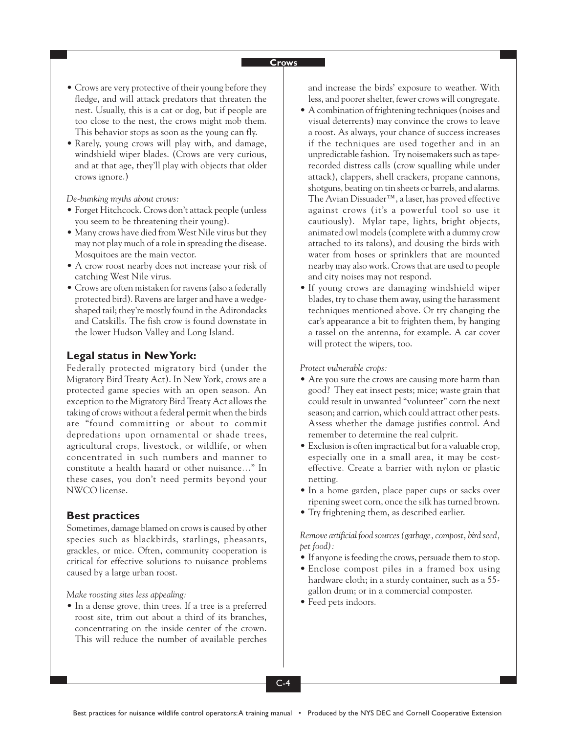#### **Crows**

- Crows are very protective of their young before they fledge, and will attack predators that threaten the nest. Usually, this is a cat or dog, but if people are too close to the nest, the crows might mob them. This behavior stops as soon as the young can fly.
- Rarely, young crows will play with, and damage, windshield wiper blades. (Crows are very curious, and at that age, they'll play with objects that older crows ignore.)

*De-bunking myths about crows:*

- Forget Hitchcock. Crows don't attack people (unless you seem to be threatening their young).
- Many crows have died from West Nile virus but they may not play much of a role in spreading the disease. Mosquitoes are the main vector.
- A crow roost nearby does not increase your risk of catching West Nile virus.
- Crows are often mistaken for ravens (also a federally protected bird). Ravens are larger and have a wedgeshaped tail; they're mostly found in the Adirondacks and Catskills. The fish crow is found downstate in the lower Hudson Valley and Long Island.

#### **Legal status in New York:**

Federally protected migratory bird (under the Migratory Bird Treaty Act). In New York, crows are a protected game species with an open season. An exception to the Migratory Bird Treaty Act allows the taking of crows without a federal permit when the birds are "found committing or about to commit depredations upon ornamental or shade trees, agricultural crops, livestock, or wildlife, or when concentrated in such numbers and manner to constitute a health hazard or other nuisance…" In these cases, you don't need permits beyond your NWCO license.

#### **Best practices**

Sometimes, damage blamed on crows is caused by other species such as blackbirds, starlings, pheasants, grackles, or mice. Often, community cooperation is critical for effective solutions to nuisance problems caused by a large urban roost.

*Make roosting sites less appealing:*

• In a dense grove, thin trees. If a tree is a preferred roost site, trim out about a third of its branches, concentrating on the inside center of the crown. This will reduce the number of available perches and increase the birds' exposure to weather. With less, and poorer shelter, fewer crows will congregate.

- A combination of frightening techniques (noises and visual deterrents) may convince the crows to leave a roost. As always, your chance of success increases if the techniques are used together and in an unpredictable fashion. Try noisemakers such as taperecorded distress calls (crow squalling while under attack), clappers, shell crackers, propane cannons, shotguns, beating on tin sheets or barrels, and alarms. The Avian Dissuader™, a laser, has proved effective against crows (it's a powerful tool so use it cautiously). Mylar tape, lights, bright objects, animated owl models (complete with a dummy crow attached to its talons), and dousing the birds with water from hoses or sprinklers that are mounted nearby may also work. Crows that are used to people and city noises may not respond.
- If young crows are damaging windshield wiper blades, try to chase them away, using the harassment techniques mentioned above. Or try changing the car's appearance a bit to frighten them, by hanging a tassel on the antenna, for example. A car cover will protect the wipers, too.

*Protect vulnerable crops:*

- Are you sure the crows are causing more harm than good? They eat insect pests; mice; waste grain that could result in unwanted "volunteer" corn the next season; and carrion, which could attract other pests. Assess whether the damage justifies control. And remember to determine the real culprit.
- Exclusion is often impractical but for a valuable crop, especially one in a small area, it may be costeffective. Create a barrier with nylon or plastic netting.
- In a home garden, place paper cups or sacks over ripening sweet corn, once the silk has turned brown.
- Try frightening them, as described earlier.

*Remove artificial food sources (garbage, compost, bird seed, pet food):*

- If anyone is feeding the crows, persuade them to stop.
- Enclose compost piles in a framed box using hardware cloth; in a sturdy container, such as a 55 gallon drum; or in a commercial composter.
- Feed pets indoors.